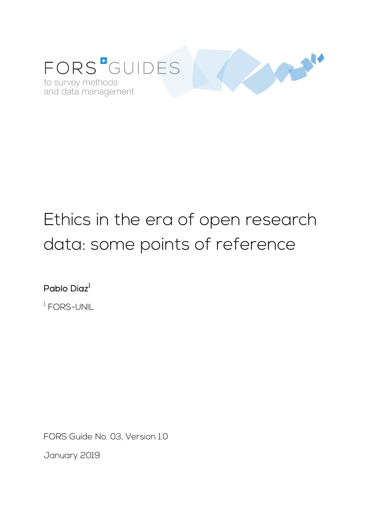

# Ethics in the era of open research data: some points of reference

Pablo Diaz $^{\rm l}$ 

<sup>1</sup> FORS-UNIL

FORS Guide No. 03, Version 1.0

January 2019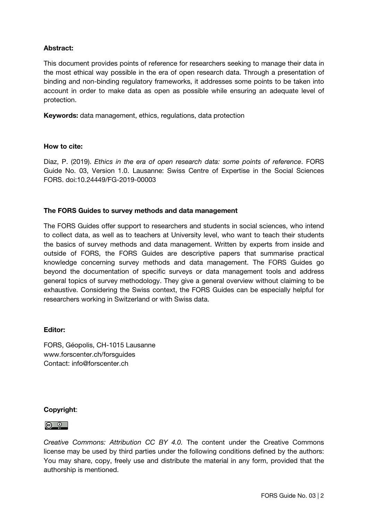## Abstract:

This document provides points of reference for researchers seeking to manage their data in the most ethical way possible in the era of open research data. Through a presentation of binding and non-binding regulatory frameworks, it addresses some points to be taken into account in order to make data as open as possible while ensuring an adequate level of protection.

Keywords: data management, ethics, regulations, data protection

#### How to cite:

Diaz, P. (2019). *Ethics in the era of open research data: some points of reference*. FORS Guide No. 03, Version 1.0. Lausanne: Swiss Centre of Expertise in the Social Sciences FORS. doi:10.24449/FG-2019-00003

#### The FORS Guides to survey methods and data management

The FORS Guides offer support to researchers and students in social sciences, who intend to collect data, as well as to teachers at University level, who want to teach their students the basics of survey methods and data management. Written by experts from inside and outside of FORS, the FORS Guides are descriptive papers that summarise practical knowledge concerning survey methods and data management. The FORS Guides go beyond the documentation of specific surveys or data management tools and address general topics of survey methodology. They give a general overview without claiming to be exhaustive. Considering the Swiss context, the FORS Guides can be especially helpful for researchers working in Switzerland or with Swiss data.

#### Editor:

FORS, Géopolis, CH-1015 Lausanne www.forscenter.ch/forsguides Contact: info@forscenter.ch

#### Copyright:

#### <u>ල 0 |</u>

*Creative Commons: Attribution CC BY 4.0.* The content under the Creative Commons license may be used by third parties under the following conditions defined by the authors: You may share, copy, freely use and distribute the material in any form, provided that the authorship is mentioned.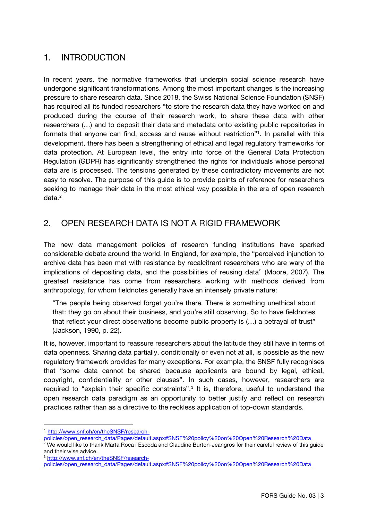# 1. INTRODUCTION

In recent years, the normative frameworks that underpin social science research have undergone significant transformations. Among the most important changes is the increasing pressure to share research data. Since 2018, the Swiss National Science Foundation (SNSF) has required all its funded researchers "to store the research data they have worked on and produced during the course of their research work, to share these data with other researchers (…) and to deposit their data and metadata onto existing public repositories in formats that anyone can find, access and reuse without restriction"<sup>1</sup>. In parallel with this development, there has been a strengthening of ethical and legal regulatory frameworks for data protection. At European level, the entry into force of the General Data Protection Regulation (GDPR) has significantly strengthened the rights for individuals whose personal data are is processed. The tensions generated by these contradictory movements are not easy to resolve. The purpose of this guide is to provide points of reference for researchers seeking to manage their data in the most ethical way possible in the era of open research data.[2](#page-2-1)

# 2. OPEN RESEARCH DATA IS NOT A RIGID FRAMEWORK

The new data management policies of research funding institutions have sparked considerable debate around the world. In England, for example, the "perceived injunction to archive data has been met with resistance by recalcitrant researchers who are wary of the implications of depositing data, and the possibilities of reusing data" (Moore, 2007). The greatest resistance has come from researchers working with methods derived from anthropology, for whom fieldnotes generally have an intensely private nature:

"The people being observed forget you're there. There is something unethical about that: they go on about their business, and you're still observing. So to have fieldnotes that reflect your direct observations become public property is (…) a betrayal of trust" (Jackson, 1990, p. 22).

It is, however, important to reassure researchers about the latitude they still have in terms of data openness. Sharing data partially, conditionally or even not at all, is possible as the new regulatory framework provides for many exceptions. For example, the SNSF fully recognises that "some data cannot be shared because applicants are bound by legal, ethical, copyright, confidentiality or other clauses". In such cases, however, researchers are required to "explain their specific constraints".<sup>[3](#page-2-2)</sup> It is, therefore, useful to understand the open research data paradigm as an opportunity to better justify and reflect on research practices rather than as a directive to the reckless application of top-down standards.

 $\overline{a}$ 

<span id="page-2-0"></span><sup>1</sup> [http://www.snf.ch/en/theSNSF/research-](http://www.snf.ch/en/theSNSF/research-policies/open_research_data/Pages/default.aspx#SNSF%20policy%20on%20Open%20Research%20Data)

[policies/open\\_research\\_data/Pages/default.aspx#SNSF%20policy%20on%20Open%20Research%20Data](http://www.snf.ch/en/theSNSF/research-policies/open_research_data/Pages/default.aspx#SNSF%20policy%20on%20Open%20Research%20Data)

<span id="page-2-1"></span> $^2$  We would like to thank Marta Roca i Escoda and Claudine Burton-Jeangros for their careful review of this guide and their wise advice.

<span id="page-2-2"></span><sup>3</sup> [http://www.snf.ch/en/theSNSF/research-](http://www.snf.ch/en/theSNSF/research-policies/open_research_data/Pages/default.aspx#SNSF%20policy%20on%20Open%20Research%20Data)

[policies/open\\_research\\_data/Pages/default.aspx#SNSF%20policy%20on%20Open%20Research%20Data](http://www.snf.ch/en/theSNSF/research-policies/open_research_data/Pages/default.aspx#SNSF%20policy%20on%20Open%20Research%20Data)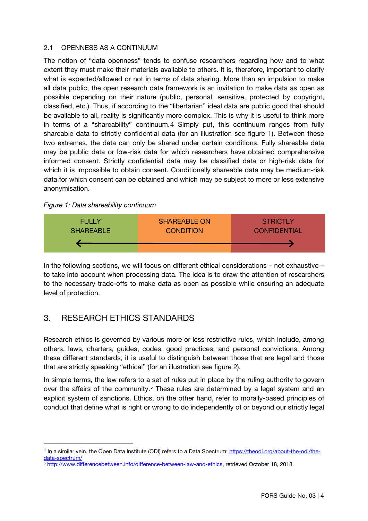#### 2.1 OPENNESS AS A CONTINUUM

The notion of "data openness" tends to confuse researchers regarding how and to what extent they must make their materials available to others. It is, therefore, important to clarify what is expected/allowed or not in terms of data sharing. More than an impulsion to make all data public, the open research data framework is an invitation to make data as open as possible depending on their nature (public, personal, sensitive, protected by copyright, classified, etc.). Thus, if according to the "libertarian" ideal data are public good that should be available to all, reality is significantly more complex. This is why it is useful to think more in terms of a "shareability" continuum.[4](#page-3-0) Simply put, this continuum ranges from fully shareable data to strictly confidential data (for an illustration see figure 1). Between these two extremes, the data can only be shared under certain conditions. Fully shareable data may be public data or low-risk data for which researchers have obtained comprehensive informed consent. Strictly confidential data may be classified data or high-risk data for which it is impossible to obtain consent. Conditionally shareable data may be medium-risk data for which consent can be obtained and which may be subject to more or less extensive anonymisation.

#### *Figure 1: Data shareability continuum*



In the following sections, we will focus on different ethical considerations – not exhaustive – to take into account when processing data. The idea is to draw the attention of researchers to the necessary trade-offs to make data as open as possible while ensuring an adequate level of protection.

# 3. RESEARCH ETHICS STANDARDS

 $\overline{a}$ 

Research ethics is governed by various more or less restrictive rules, which include, among others, laws, charters, guides, codes, good practices, and personal convictions. Among these different standards, it is useful to distinguish between those that are legal and those that are strictly speaking "ethical" (for an illustration see figure 2).

In simple terms, the law refers to a set of rules put in place by the ruling authority to govern over the affairs of the community.<sup>[5](#page-3-1)</sup> These rules are determined by a legal system and an explicit system of sanctions. Ethics, on the other hand, refer to morally-based principles of conduct that define what is right or wrong to do independently of or beyond our strictly legal

<span id="page-3-0"></span><sup>&</sup>lt;sup>4</sup> In a similar vein, the Open Data Institute (ODI) refers to a Data Spectrum: [https://theodi.org/about-the-odi/the](https://theodi.org/about-the-odi/the-data-spectrum/)[data-spectrum/](https://theodi.org/about-the-odi/the-data-spectrum/)

<span id="page-3-1"></span><sup>5</sup> [http://www.differencebetween.info/difference-between-law-and-ethics,](http://www.differencebetween.info/difference-between-law-and-ethics) retrieved October 18, 2018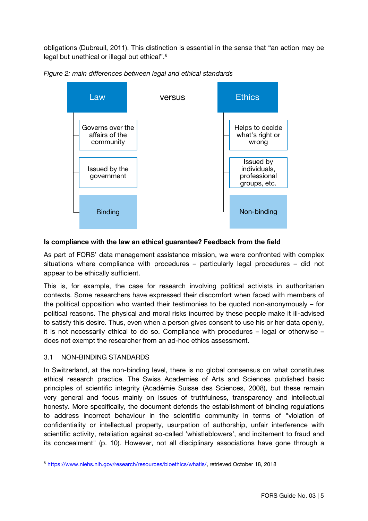obligations (Dubreuil, 2011). This distinction is essential in the sense that "an action may be legal but unethical or illegal but ethical".<sup>[6](#page-4-0)</sup>





#### Is compliance with the law an ethical guarantee? Feedback from the field

As part of FORS' data management assistance mission, we were confronted with complex situations where compliance with procedures – particularly legal procedures – did not appear to be ethically sufficient.

This is, for example, the case for research involving political activists in authoritarian contexts. Some researchers have expressed their discomfort when faced with members of the political opposition who wanted their testimonies to be quoted non-anonymously – for political reasons. The physical and moral risks incurred by these people make it ill-advised to satisfy this desire. Thus, even when a person gives consent to use his or her data openly, it is not necessarily ethical to do so. Compliance with procedures – legal or otherwise – does not exempt the researcher from an ad-hoc ethics assessment.

## 3.1 NON-BINDING STANDARDS

 $\overline{a}$ 

In Switzerland, at the non-binding level, there is no global consensus on what constitutes ethical research practice. The Swiss Academies of Arts and Sciences published basic principles of scientific integrity (Académie Suisse des Sciences, 2008), but these remain very general and focus mainly on issues of truthfulness, transparency and intellectual honesty. More specifically, the document defends the establishment of binding regulations to address incorrect behaviour in the scientific community in terms of "violation of confidentiality or intellectual property, usurpation of authorship, unfair interference with scientific activity, retaliation against so-called 'whistleblowers', and incitement to fraud and its concealment" (p. 10). However, not all disciplinary associations have gone through a

<span id="page-4-0"></span><sup>6</sup> [https://www.niehs.nih.gov/research/resources/bioethics/whatis/,](https://www.niehs.nih.gov/research/resources/bioethics/whatis/) retrieved October 18, 2018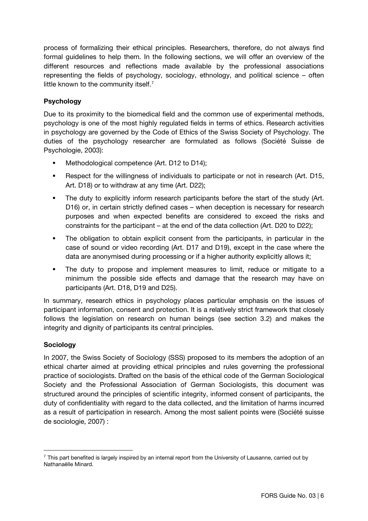process of formalizing their ethical principles. Researchers, therefore, do not always find formal guidelines to help them. In the following sections, we will offer an overview of the different resources and reflections made available by the professional associations representing the fields of psychology, sociology, ethnology, and political science – often little known to the community itself.<sup>[7](#page-5-0)</sup>

## Psychology

Due to its proximity to the biomedical field and the common use of experimental methods, psychology is one of the most highly regulated fields in terms of ethics. Research activities in psychology are governed by the Code of Ethics of the Swiss Society of Psychology. The duties of the psychology researcher are formulated as follows (Société Suisse de Psychologie, 2003):

- Methodological competence (Art. D12 to D14);
- Respect for the willingness of individuals to participate or not in research (Art. D15, Art. D18) or to withdraw at any time (Art. D22);
- The duty to explicitly inform research participants before the start of the study (Art. D16) or, in certain strictly defined cases – when deception is necessary for research purposes and when expected benefits are considered to exceed the risks and constraints for the participant – at the end of the data collection (Art. D20 to D22);
- The obligation to obtain explicit consent from the participants, in particular in the case of sound or video recording (Art. D17 and D19), except in the case where the data are anonymised during processing or if a higher authority explicitly allows it;
- The duty to propose and implement measures to limit, reduce or mitigate to a minimum the possible side effects and damage that the research may have on participants (Art. D18, D19 and D25).

In summary, research ethics in psychology places particular emphasis on the issues of participant information, consent and protection. It is a relatively strict framework that closely follows the legislation on research on human beings (see section 3.2) and makes the integrity and dignity of participants its central principles.

## **Sociology**

 $\overline{a}$ 

In 2007, the Swiss Society of Sociology (SSS) proposed to its members the adoption of an ethical charter aimed at providing ethical principles and rules governing the professional practice of sociologists. Drafted on the basis of the ethical code of the German Sociological Society and the Professional Association of German Sociologists, this document was structured around the principles of scientific integrity, informed consent of participants, the duty of confidentiality with regard to the data collected, and the limitation of harms incurred as a result of participation in research. Among the most salient points were (Société suisse de sociologie, 2007) :

<span id="page-5-0"></span> $^7$  This part benefited is largely inspired by an internal report from the University of Lausanne, carried out by Nathanaëlle Minard.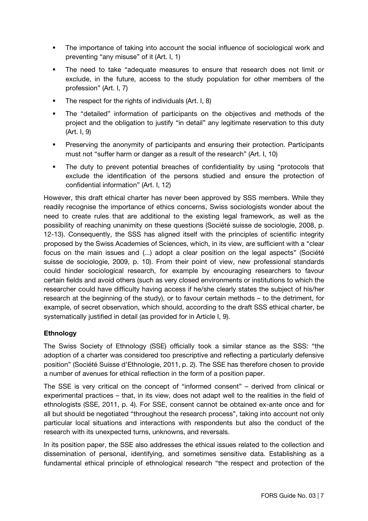- The importance of taking into account the social influence of sociological work and preventing "any misuse" of it (Art. I, 1)
- The need to take "adequate measures to ensure that research does not limit or exclude, in the future, access to the study population for other members of the profession" (Art. I, 7)
- The respect for the rights of individuals (Art. I, 8)
- The "detailed" information of participants on the objectives and methods of the project and the obligation to justify "in detail" any legitimate reservation to this duty (Art. I, 9)
- **Preserving the anonymity of participants and ensuring their protection. Participants** must not "suffer harm or danger as a result of the research" (Art. I, 10)
- The duty to prevent potential breaches of confidentiality by using "protocols that exclude the identification of the persons studied and ensure the protection of confidential information" (Art. I, 12)

However, this draft ethical charter has never been approved by SSS members. While they readily recognise the importance of ethics concerns, Swiss sociologists wonder about the need to create rules that are additional to the existing legal framework, as well as the possibility of reaching unanimity on these questions (Société suisse de sociologie, 2008, p. 12-13). Consequently, the SSS has aligned itself with the principles of scientific integrity proposed by the Swiss Academies of Sciences, which, in its view, are sufficient with a "clear focus on the main issues and (...) adopt a clear position on the legal aspects" (Société suisse de sociologie, 2009, p. 10). From their point of view, new professional standards could hinder sociological research, for example by encouraging researchers to favour certain fields and avoid others (such as very closed environments or institutions to which the researcher could have difficulty having access if he/she clearly states the subject of his/her research at the beginning of the study), or to favour certain methods – to the detriment, for example, of secret observation, which should, according to the draft SSS ethical charter, be systematically justified in detail (as provided for in Article I, 9).

## Ethnology

The Swiss Society of Ethnology (SSE) officially took a similar stance as the SSS: "the adoption of a charter was considered too prescriptive and reflecting a particularly defensive position" (Société Suisse d'Ethnologie, 2011, p. 2). The SSE has therefore chosen to provide a number of avenues for ethical reflection in the form of a position paper.

The SSE is very critical on the concept of "informed consent" – derived from clinical or experimental practices – that, in its view, does not adapt well to the realities in the field of ethnologists (SSE, 2011, p. 4). For SSE, consent cannot be obtained ex-ante once and for all but should be negotiated "throughout the research process", taking into account not only particular local situations and interactions with respondents but also the conduct of the research with its unexpected turns, unknowns, and reversals.

In its position paper, the SSE also addresses the ethical issues related to the collection and dissemination of personal, identifying, and sometimes sensitive data. Establishing as a fundamental ethical principle of ethnological research "the respect and protection of the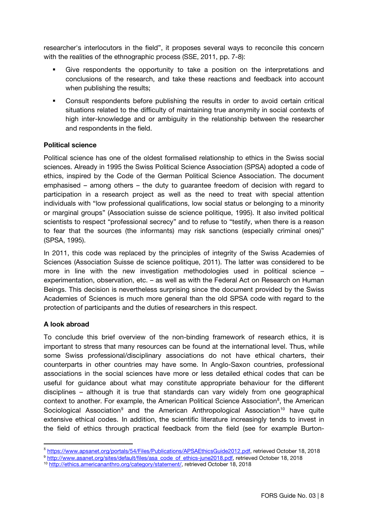researcher's interlocutors in the field", it proposes several ways to reconcile this concern with the realities of the ethnographic process (SSE, 2011, pp. 7-8):

- Give respondents the opportunity to take a position on the interpretations and conclusions of the research, and take these reactions and feedback into account when publishing the results;
- Consult respondents before publishing the results in order to avoid certain critical situations related to the difficulty of maintaining true anonymity in social contexts of high inter-knowledge and or ambiguity in the relationship between the researcher and respondents in the field.

#### Political science

Political science has one of the oldest formalised relationship to ethics in the Swiss social sciences. Already in 1995 the Swiss Political Science Association (SPSA) adopted a code of ethics, inspired by the Code of the German Political Science Association. The document emphasised – among others – the duty to guarantee freedom of decision with regard to participation in a research project as well as the need to treat with special attention individuals with "low professional qualifications, low social status or belonging to a minority or marginal groups" (Association suisse de science politique, 1995). It also invited political scientists to respect "professional secrecy" and to refuse to "testify, when there is a reason to fear that the sources (the informants) may risk sanctions (especially criminal ones)" (SPSA, 1995).

In 2011, this code was replaced by the principles of integrity of the Swiss Academies of Sciences (Association Suisse de science politique, 2011). The latter was considered to be more in line with the new investigation methodologies used in political science – experimentation, observation, etc. – as well as with the Federal Act on Research on Human Beings. This decision is nevertheless surprising since the document provided by the Swiss Academies of Sciences is much more general than the old SPSA code with regard to the protection of participants and the duties of researchers in this respect.

## A look abroad

To conclude this brief overview of the non-binding framework of research ethics, it is important to stress that many resources can be found at the international level. Thus, while some Swiss professional/disciplinary associations do not have ethical charters, their counterparts in other countries may have some. In Anglo-Saxon countries, professional associations in the social sciences have more or less detailed ethical codes that can be useful for guidance about what may constitute appropriate behaviour for the different disciplines – although it is true that standards can vary widely from one geographical context to another. For example, the American Political Science Association<sup>[8](#page-7-0)</sup>, the American Sociological Association<sup>[9](#page-7-1)</sup> and the American Anthropological Association<sup>[10](#page-7-2)</sup> have quite extensive ethical codes. In addition, the scientific literature increasingly tends to invest in the field of ethics through practical feedback from the field (see for example Burton-

<span id="page-7-1"></span><span id="page-7-0"></span>9 [http://www.asanet.org/sites/default/files/asa\\_code\\_of\\_ethics-june2018.pdf,](http://www.asanet.org/sites/default/files/asa_code_of_ethics-june2018.pdf) retrieved October 18, 2018

<sup>8</sup> [https://www.apsanet.org/portals/54/Files/Publications/APSAEthicsGuide2012.pdf,](https://www.apsanet.org/portals/54/Files/Publications/APSAEthicsGuide2012.pdf) retrieved October 18, 2018

<span id="page-7-2"></span><sup>10</sup> [http://ethics.americananthro.org/category/statement/,](http://ethics.americananthro.org/category/statement/) retrieved October 18, 2018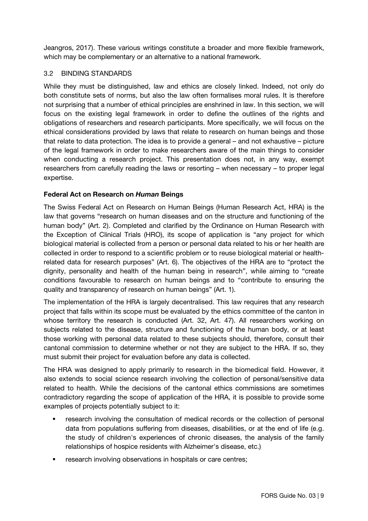Jeangros, 2017). These various writings constitute a broader and more flexible framework, which may be complementary or an alternative to a national framework.

#### 3.2 BINDING STANDARDS

While they must be distinguished, law and ethics are closely linked. Indeed, not only do both constitute sets of norms, but also the law often formalises moral rules. It is therefore not surprising that a number of ethical principles are enshrined in law. In this section, we will focus on the existing legal framework in order to define the outlines of the rights and obligations of researchers and research participants. More specifically, we will focus on the ethical considerations provided by laws that relate to research on human beings and those that relate to data protection. The idea is to provide a general – and not exhaustive – picture of the legal framework in order to make researchers aware of the main things to consider when conducting a research project. This presentation does not, in any way, exempt researchers from carefully reading the laws or resorting – when necessary – to proper legal expertise.

#### Federal Act on Research on *Human* Beings

The Swiss Federal Act on Research on Human Beings (Human Research Act, HRA) is the law that governs "research on human diseases and on the structure and functioning of the human body" (Art. 2). Completed and clarified by the Ordinance on Human Research with the Exception of Clinical Trials (HRO), its scope of application is "any project for which biological material is collected from a person or personal data related to his or her health are collected in order to respond to a scientific problem or to reuse biological material or healthrelated data for research purposes" (Art. 6). The objectives of the HRA are to "protect the dignity, personality and health of the human being in research", while aiming to "create conditions favourable to research on human beings and to "contribute to ensuring the quality and transparency of research on human beings" (Art. 1).

The implementation of the HRA is largely decentralised. This law requires that any research project that falls within its scope must be evaluated by the ethics committee of the canton in whose territory the research is conducted (Art. 32, Art. 47). All researchers working on subjects related to the disease, structure and functioning of the human body, or at least those working with personal data related to these subjects should, therefore, consult their cantonal commission to determine whether or not they are subject to the HRA. If so, they must submit their project for evaluation before any data is collected.

The HRA was designed to apply primarily to research in the biomedical field. However, it also extends to social science research involving the collection of personal/sensitive data related to health. While the decisions of the cantonal ethics commissions are sometimes contradictory regarding the scope of application of the HRA, it is possible to provide some examples of projects potentially subject to it:

- research involving the consultation of medical records or the collection of personal data from populations suffering from diseases, disabilities, or at the end of life (e.g. the study of children's experiences of chronic diseases, the analysis of the family relationships of hospice residents with Alzheimer's disease, etc.)
- research involving observations in hospitals or care centres;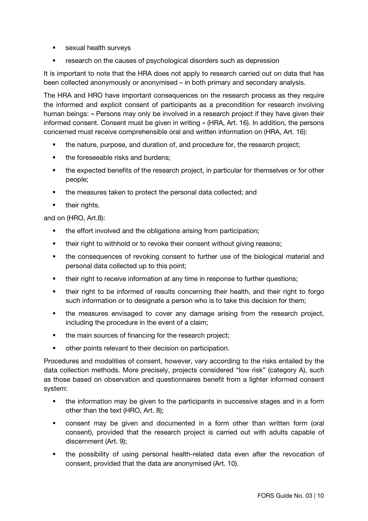- **s** sexual health surveys
- research on the causes of psychological disorders such as depression

It is important to note that the HRA does not apply to research carried out on data that has been collected anonymously or anonymised – in both primary and secondary analysis.

The HRA and HRO have important consequences on the research process as they require the informed and explicit consent of participants as a precondition for research involving human beings: « Persons may only be involved in a research project if they have given their informed consent. Consent must be given in writing » (HRA, Art. 16). In addition, the persons concerned must receive comprehensible oral and written information on (HRA, Art. 16):

- the nature, purpose, and duration of, and procedure for, the research project;
- the foreseeable risks and burdens;
- **the expected benefits of the research project, in particular for themselves or for other** people;
- the measures taken to protect the personal data collected; and
- their rights.

and on (HRO, Art.8):

- the effort involved and the obligations arising from participation;
- **their right to withhold or to revoke their consent without giving reasons;**
- the consequences of revoking consent to further use of the biological material and personal data collected up to this point;
- their right to receive information at any time in response to further questions;
- their right to be informed of results concerning their health, and their right to forgo such information or to designate a person who is to take this decision for them;
- the measures envisaged to cover any damage arising from the research project, including the procedure in the event of a claim;
- the main sources of financing for the research project;
- other points relevant to their decision on participation.

Procedures and modalities of consent, however, vary according to the risks entailed by the data collection methods. More precisely, projects considered "low risk" (category A), such as those based on observation and questionnaires benefit from a lighter informed consent system:

- the information may be given to the participants in successive stages and in a form other than the text (HRO, Art. 8);
- consent may be given and documented in a form other than written form (oral consent), provided that the research project is carried out with adults capable of discernment (Art. 9);
- the possibility of using personal health-related data even after the revocation of consent, provided that the data are anonymised (Art. 10).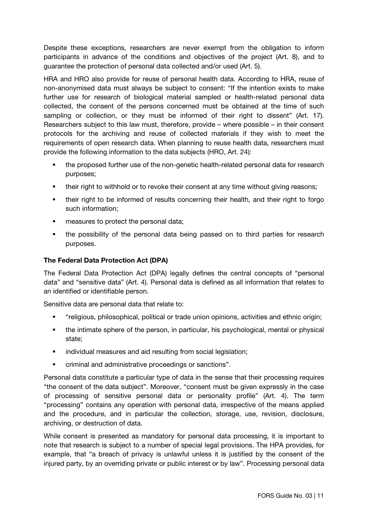Despite these exceptions, researchers are never exempt from the obligation to inform participants in advance of the conditions and objectives of the project (Art. 8), and to guarantee the protection of personal data collected and/or used (Art. 5).

HRA and HRO also provide for reuse of personal health data. According to HRA, reuse of non-anonymised data must always be subject to consent: "If the intention exists to make further use for research of biological material sampled or health-related personal data collected, the consent of the persons concerned must be obtained at the time of such sampling or collection, or they must be informed of their right to dissent" (Art. 17). Researchers subject to this law must, therefore, provide – where possible – in their consent protocols for the archiving and reuse of collected materials if they wish to meet the requirements of open research data. When planning to reuse health data, researchers must provide the following information to the data subjects (HRO, Art. 24):

- the proposed further use of the non-genetic health-related personal data for research purposes;
- their right to withhold or to revoke their consent at any time without giving reasons;
- their right to be informed of results concerning their health, and their right to forgo such information;
- measures to protect the personal data;
- the possibility of the personal data being passed on to third parties for research purposes.

#### The Federal Data Protection Act (DPA)

The Federal Data Protection Act (DPA) legally defines the central concepts of "personal data" and "sensitive data" (Art. 4). Personal data is defined as all information that relates to an identified or identifiable person.

Sensitive data are personal data that relate to:

- "religious, philosophical, political or trade union opinions, activities and ethnic origin;
- the intimate sphere of the person, in particular, his psychological, mental or physical state;
- **i** individual measures and aid resulting from social legislation;
- criminal and administrative proceedings or sanctions".

Personal data constitute a particular type of data in the sense that their processing requires "the consent of the data subject". Moreover, "consent must be given expressly in the case of processing of sensitive personal data or personality profile" (Art. 4). The term "processing" contains any operation with personal data, irrespective of the means applied and the procedure, and in particular the collection, storage, use, revision, disclosure, archiving, or destruction of data.

While consent is presented as mandatory for personal data processing, it is important to note that research is subject to a number of special legal provisions. The HPA provides, for example, that "a breach of privacy is unlawful unless it is justified by the consent of the injured party, by an overriding private or public interest or by law". Processing personal data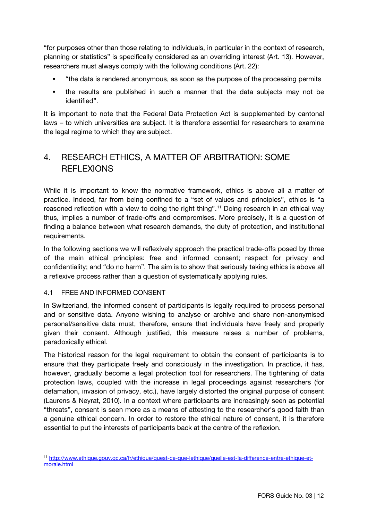"for purposes other than those relating to individuals, in particular in the context of research, planning or statistics" is specifically considered as an overriding interest (Art. 13). However, researchers must always comply with the following conditions (Art. 22):

- "the data is rendered anonymous, as soon as the purpose of the processing permits
- the results are published in such a manner that the data subjects may not be identified".

It is important to note that the Federal Data Protection Act is supplemented by cantonal laws – to which universities are subject. It is therefore essential for researchers to examine the legal regime to which they are subject.

# 4. RESEARCH ETHICS, A MATTER OF ARBITRATION: SOME REFLEXIONS

While it is important to know the normative framework, ethics is above all a matter of practice. Indeed, far from being confined to a "set of values and principles", ethics is "a reasoned reflection with a view to doing the right thing".<sup>[11](#page-11-0)</sup> Doing research in an ethical way thus, implies a number of trade-offs and compromises. More precisely, it is a question of finding a balance between what research demands, the duty of protection, and institutional requirements.

In the following sections we will reflexively approach the practical trade-offs posed by three of the main ethical principles: free and informed consent; respect for privacy and confidentiality; and "do no harm". The aim is to show that seriously taking ethics is above all a reflexive process rather than a question of systematically applying rules.

## 4.1 FREE AND INFORMED CONSENT

In Switzerland, the informed consent of participants is legally required to process personal and or sensitive data. Anyone wishing to analyse or archive and share non-anonymised personal/sensitive data must, therefore, ensure that individuals have freely and properly given their consent. Although justified, this measure raises a number of problems, paradoxically ethical.

The historical reason for the legal requirement to obtain the consent of participants is to ensure that they participate freely and consciously in the investigation. In practice, it has, however, gradually become a legal protection tool for researchers. The tightening of data protection laws, coupled with the increase in legal proceedings against researchers (for defamation, invasion of privacy, etc.), have largely distorted the original purpose of consent (Laurens & Neyrat, 2010). In a context where participants are increasingly seen as potential "threats", consent is seen more as a means of attesting to the researcher's good faith than a genuine ethical concern. In order to restore the ethical nature of consent, it is therefore essential to put the interests of participants back at the centre of the reflexion.

<span id="page-11-0"></span> $\overline{a}$ <sup>11</sup> [http://www.ethique.gouv.qc.ca/fr/ethique/quest-ce-que-lethique/quelle-est-la-difference-entre-ethique-et](http://www.ethique.gouv.qc.ca/fr/ethique/quest-ce-que-lethique/quelle-est-la-difference-entre-ethique-et-morale.html)[morale.html](http://www.ethique.gouv.qc.ca/fr/ethique/quest-ce-que-lethique/quelle-est-la-difference-entre-ethique-et-morale.html)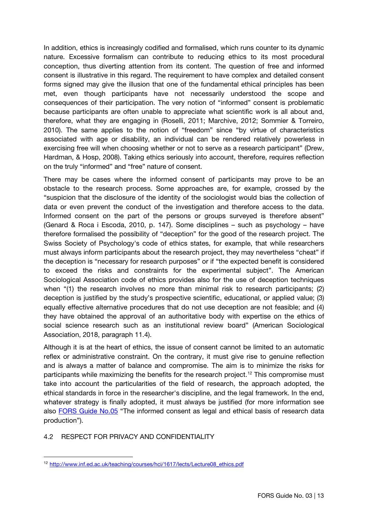In addition, ethics is increasingly codified and formalised, which runs counter to its dynamic nature. Excessive formalism can contribute to reducing ethics to its most procedural conception, thus diverting attention from its content. The question of free and informed consent is illustrative in this regard. The requirement to have complex and detailed consent forms signed may give the illusion that one of the fundamental ethical principles has been met, even though participants have not necessarily understood the scope and consequences of their participation. The very notion of "informed" consent is problematic because participants are often unable to appreciate what scientific work is all about and, therefore, what they are engaging in (Roselli, 2011; Marchive, 2012; Sommier & Torreiro, 2010). The same applies to the notion of "freedom" since "by virtue of characteristics associated with age or disability, an individual can be rendered relatively powerless in exercising free will when choosing whether or not to serve as a research participant" (Drew, Hardman, & Hosp, 2008). Taking ethics seriously into account, therefore, requires reflection on the truly "informed" and "free" nature of consent.

There may be cases where the informed consent of participants may prove to be an obstacle to the research process. Some approaches are, for example, crossed by the "suspicion that the disclosure of the identity of the sociologist would bias the collection of data or even prevent the conduct of the investigation and therefore access to the data. Informed consent on the part of the persons or groups surveyed is therefore absent" (Genard & Roca i Escoda, 2010, p. 147). Some disciplines – such as psychology – have therefore formalised the possibility of "deception" for the good of the research project. The Swiss Society of Psychology's code of ethics states, for example, that while researchers must always inform participants about the research project, they may nevertheless "cheat" if the deception is "necessary for research purposes" or if "the expected benefit is considered to exceed the risks and constraints for the experimental subject". The American Sociological Association code of ethics provides also for the use of deception techniques when "(1) the research involves no more than minimal risk to research participants; (2) deception is justified by the study's prospective scientific, educational, or applied value; (3) equally effective alternative procedures that do not use deception are not feasible; and (4) they have obtained the approval of an authoritative body with expertise on the ethics of social science research such as an institutional review board" (American Sociological Association, 2018, paragraph 11.4).

Although it is at the heart of ethics, the issue of consent cannot be limited to an automatic reflex or administrative constraint. On the contrary, it must give rise to genuine reflection and is always a matter of balance and compromise. The aim is to minimize the risks for participants while maximizing the benefits for the research project.<sup>[12](#page-12-0)</sup> This compromise must take into account the particularities of the field of research, the approach adopted, the ethical standards in force in the researcher's discipline, and the legal framework. In the end, whatever strategy is finally adopted, it must always be justified (for more information see also [FORS Guide No.05](https://forscenter.ch/fors-guides/fg-2019-00005/) "The informed consent as legal and ethical basis of research data production").

## 4.2 RESPECT FOR PRIVACY AND CONFIDENTIALITY

 $\overline{a}$ 

<span id="page-12-0"></span><sup>12</sup> [http://www.inf.ed.ac.uk/teaching/courses/hci/1617/lects/Lecture08\\_ethics.pdf](http://www.inf.ed.ac.uk/teaching/courses/hci/1617/lects/Lecture08_ethics.pdf)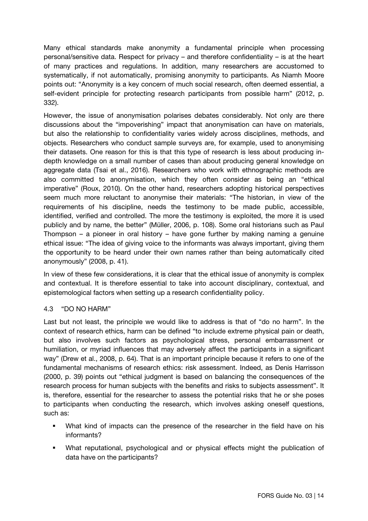Many ethical standards make anonymity a fundamental principle when processing personal/sensitive data. Respect for privacy – and therefore confidentiality – is at the heart of many practices and regulations. In addition, many researchers are accustomed to systematically, if not automatically, promising anonymity to participants. As Niamh Moore points out: "Anonymity is a key concern of much social research, often deemed essential, a self-evident principle for protecting research participants from possible harm" (2012, p. 332).

However, the issue of anonymisation polarises debates considerably. Not only are there discussions about the "impoverishing" impact that anonymisation can have on materials, but also the relationship to confidentiality varies widely across disciplines, methods, and objects. Researchers who conduct sample surveys are, for example, used to anonymising their datasets. One reason for this is that this type of research is less about producing indepth knowledge on a small number of cases than about producing general knowledge on aggregate data (Tsai et al., 2016). Researchers who work with ethnographic methods are also committed to anonymisation, which they often consider as being an "ethical imperative" (Roux, 2010). On the other hand, researchers adopting historical perspectives seem much more reluctant to anonymise their materials: "The historian, in view of the requirements of his discipline, needs the testimony to be made public, accessible, identified, verified and controlled. The more the testimony is exploited, the more it is used publicly and by name, the better" (Müller, 2006, p. 108). Some oral historians such as Paul Thompson – a pioneer in oral history – have gone further by making naming a genuine ethical issue: "The idea of giving voice to the informants was always important, giving them the opportunity to be heard under their own names rather than being automatically cited anonymously" (2008, p. 41).

In view of these few considerations, it is clear that the ethical issue of anonymity is complex and contextual. It is therefore essential to take into account disciplinary, contextual, and epistemological factors when setting up a research confidentiality policy.

## 4.3 "DO NO HARM"

Last but not least, the principle we would like to address is that of "do no harm". In the context of research ethics, harm can be defined "to include extreme physical pain or death, but also involves such factors as psychological stress, personal embarrassment or humiliation, or myriad influences that may adversely affect the participants in a significant way" (Drew et al., 2008, p. 64). That is an important principle because it refers to one of the fundamental mechanisms of research ethics: risk assessment. Indeed, as Denis Harrisson (2000, p. 39) points out "ethical judgment is based on balancing the consequences of the research process for human subjects with the benefits and risks to subjects assessment". It is, therefore, essential for the researcher to assess the potential risks that he or she poses to participants when conducting the research, which involves asking oneself questions, such as:

- What kind of impacts can the presence of the researcher in the field have on his informants?
- What reputational, psychological and or physical effects might the publication of data have on the participants?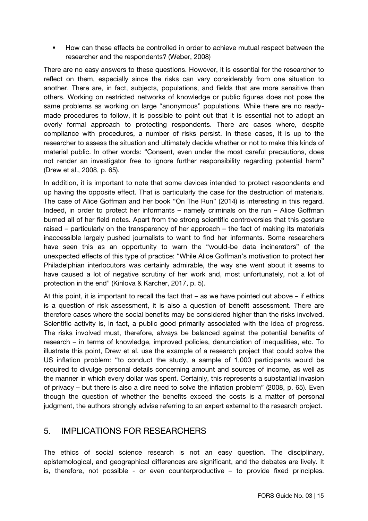How can these effects be controlled in order to achieve mutual respect between the researcher and the respondents? (Weber, 2008)

There are no easy answers to these questions. However, it is essential for the researcher to reflect on them, especially since the risks can vary considerably from one situation to another. There are, in fact, subjects, populations, and fields that are more sensitive than others. Working on restricted networks of knowledge or public figures does not pose the same problems as working on large "anonymous" populations. While there are no readymade procedures to follow, it is possible to point out that it is essential not to adopt an overly formal approach to protecting respondents. There are cases where, despite compliance with procedures, a number of risks persist. In these cases, it is up to the researcher to assess the situation and ultimately decide whether or not to make this kinds of material public. In other words: "Consent, even under the most careful precautions, does not render an investigator free to ignore further responsibility regarding potential harm" (Drew et al., 2008, p. 65).

In addition, it is important to note that some devices intended to protect respondents end up having the opposite effect. That is particularly the case for the destruction of materials. The case of Alice Goffman and her book "On The Run" (2014) is interesting in this regard. Indeed, in order to protect her informants – namely criminals on the run – Alice Goffman burned all of her field notes. Apart from the strong scientific controversies that this gesture raised – particularly on the transparency of her approach – the fact of making its materials inaccessible largely pushed journalists to want to find her informants. Some researchers have seen this as an opportunity to warn the "would-be data incinerators" of the unexpected effects of this type of practice: "While Alice Goffman's motivation to protect her Philadelphian interlocutors was certainly admirable, the way she went about it seems to have caused a lot of negative scrutiny of her work and, most unfortunately, not a lot of protection in the end" (Kirilova & Karcher, 2017, p. 5).

At this point, it is important to recall the fact that – as we have pointed out above – if ethics is a question of risk assessment, it is also a question of benefit assessment. There are therefore cases where the social benefits may be considered higher than the risks involved. Scientific activity is, in fact, a public good primarily associated with the idea of progress. The risks involved must, therefore, always be balanced against the potential benefits of research – in terms of knowledge, improved policies, denunciation of inequalities, etc. To illustrate this point, Drew et al. use the example of a research project that could solve the US inflation problem: "to conduct the study, a sample of 1,000 participants would be required to divulge personal details concerning amount and sources of income, as well as the manner in which every dollar was spent. Certainly, this represents a substantial invasion of privacy – but there is also a dire need to solve the inflation problem" (2008, p. 65). Even though the question of whether the benefits exceed the costs is a matter of personal judgment, the authors strongly advise referring to an expert external to the research project.

# 5. IMPLICATIONS FOR RESEARCHERS

The ethics of social science research is not an easy question. The disciplinary, epistemological, and geographical differences are significant, and the debates are lively. It is, therefore, not possible - or even counterproductive – to provide fixed principles.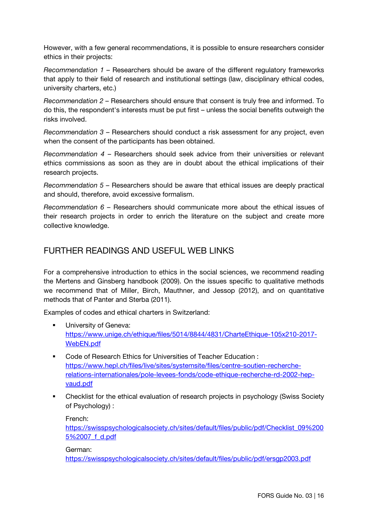However, with a few general recommendations, it is possible to ensure researchers consider ethics in their projects:

*Recommendation 1* – Researchers should be aware of the different regulatory frameworks that apply to their field of research and institutional settings (law, disciplinary ethical codes, university charters, etc.)

*Recommendation 2* – Researchers should ensure that consent is truly free and informed. To do this, the respondent's interests must be put first – unless the social benefits outweigh the risks involved.

*Recommendation 3* – Researchers should conduct a risk assessment for any project, even when the consent of the participants has been obtained.

*Recommendation 4* – Researchers should seek advice from their universities or relevant ethics commissions as soon as they are in doubt about the ethical implications of their research projects.

*Recommendation 5 –* Researchers should be aware that ethical issues are deeply practical and should, therefore, avoid excessive formalism.

*Recommendation 6 –* Researchers should communicate more about the ethical issues of their research projects in order to enrich the literature on the subject and create more collective knowledge.

# FURTHER READINGS AND USEFUL WEB LINKS

For a comprehensive introduction to ethics in the social sciences, we recommend reading the Mertens and Ginsberg handbook (2009). On the issues specific to qualitative methods we recommend that of Miller, Birch, Mauthner, and Jessop (2012), and on quantitative methods that of Panter and Sterba (2011).

Examples of codes and ethical charters in Switzerland:

- University of Geneva: [https://www.unige.ch/ethique/files/5014/8844/4831/CharteEthique-105x210-2017-](https://www.unige.ch/ethique/files/5014/8844/4831/CharteEthique-105x210-2017-WebEN.pdf) [WebEN.pdf](https://www.unige.ch/ethique/files/5014/8844/4831/CharteEthique-105x210-2017-WebEN.pdf)
- Code of Research Ethics for Universities of Teacher Education : [https://www.hepl.ch/files/live/sites/systemsite/files/centre-soutien-recherche](https://www.hepl.ch/files/live/sites/systemsite/files/centre-soutien-recherche-relations-internationales/pole-levees-fonds/code-ethique-recherche-rd-2002-hep-vaud.pdf)[relations-internationales/pole-levees-fonds/code-ethique-recherche-rd-2002-hep](https://www.hepl.ch/files/live/sites/systemsite/files/centre-soutien-recherche-relations-internationales/pole-levees-fonds/code-ethique-recherche-rd-2002-hep-vaud.pdf)[vaud.pdf](https://www.hepl.ch/files/live/sites/systemsite/files/centre-soutien-recherche-relations-internationales/pole-levees-fonds/code-ethique-recherche-rd-2002-hep-vaud.pdf)
- Checklist for the ethical evaluation of research projects in psychology (Swiss Society of Psychology) :

French:

[https://swisspsychologicalsociety.ch/sites/default/files/public/pdf/Checklist\\_09%200](https://swisspsychologicalsociety.ch/sites/default/files/public/pdf/Checklist_09%2005%2007_f_d.pdf) [5%2007\\_f\\_d.pdf](https://swisspsychologicalsociety.ch/sites/default/files/public/pdf/Checklist_09%2005%2007_f_d.pdf)

#### German:

<https://swisspsychologicalsociety.ch/sites/default/files/public/pdf/ersgp2003.pdf>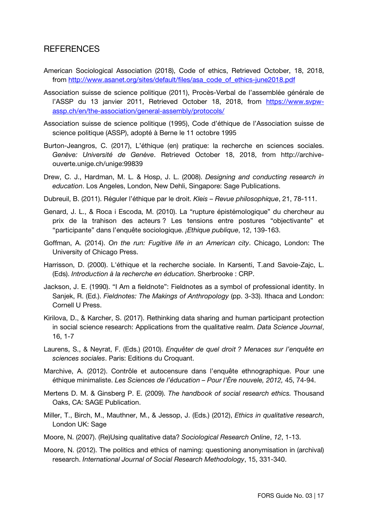# REFERENCES

- American Sociological Association (2018), Code of ethics, Retrieved October, 18, 2018, from [http://www.asanet.org/sites/default/files/asa\\_code\\_of\\_ethics-june2018.pdf](http://www.asanet.org/sites/default/files/asa_code_of_ethics-june2018.pdf)
- Association suisse de science politique (2011), Procès-Verbal de l'assemblée générale de l'ASSP du 13 janvier 2011, Retrieved October 18, 2018, from [https://www.svpw](https://www.svpw-assp.ch/en/the-association/general-assembly/protocols/)[assp.ch/en/the-association/general-assembly/protocols/](https://www.svpw-assp.ch/en/the-association/general-assembly/protocols/)
- Association suisse de science politique (1995), Code d'éthique de l'Association suisse de science politique (ASSP), adopté à Berne le 11 octobre 1995
- Burton-Jeangros, C. (2017), L'éthique (en) pratique: la recherche en sciences sociales. *Genève: Université de Genève*. Retrieved October 18, 2018, from http://archiveouverte.unige.ch/unige:99839
- Drew, C. J., Hardman, M. L. & Hosp, J. L. (2008). *Designing and conducting research in education*. Los Angeles, London, New Dehli, Singapore: Sage Publications.
- Dubreuil, B. (2011). Réguler l'éthique par le droit. *Kleis – Revue philosophique*, 21, 78-111.
- Genard, J. L., & Roca i Escoda, M. (2010). La "rupture épistémologique" du chercheur au prix de la trahison des acteurs ? Les tensions entre postures "objectivante" et "participante" dans l'enquête sociologique. *¡Ethique publique*, 12, 139-163.
- Goffman, A. (2014). *On the run: Fugitive life in an American city*. Chicago, London: The University of Chicago Press.
- Harrisson, D. (2000). L'éthique et la recherche sociale. In Karsenti, T.and Savoie-Zajc, L. (Eds). *Introduction à la recherche en éducation*. Sherbrooke : CRP.
- Jackson, J. E. (1990). "I Am a fieldnote": Fieldnotes as a symbol of professional identity. In Sanjek, R. (Ed.). *Fieldnotes: The Makings of Anthropology* (pp. 3-33). Ithaca and London: Cornell U Press.
- Kirilova, D., & Karcher, S. (2017). Rethinking data sharing and human participant protection in social science research: Applications from the qualitative realm. *Data Science Journal*, 16, 1-7
- Laurens, S., & Neyrat, F. (Eds.) (2010). *Enquêter de quel droit ? Menaces sur l'enquête en sciences sociales*. Paris: Editions du Croquant.
- Marchive, A. (2012). Contrôle et autocensure dans l'enquête ethnographique. Pour une éthique minimaliste. *Les Sciences de l'éducation – Pour l'Ère nouvele, 2012,* 45, 74-94.
- Mertens D. M. & Ginsberg P. E. (2009). *The handbook of social research ethics.* Thousand Oaks, CA: SAGE Publication.
- Miller, T., Birch, M., Mauthner, M., & Jessop, J. (Eds.) (2012), *Ethics in qualitative research*, London UK: Sage
- Moore, N. (2007). (Re)Using qualitative data? *Sociological Research Online*, *12*, 1-13.
- Moore, N. (2012). The politics and ethics of naming: questioning anonymisation in (archival) research. *International Journal of Social Research Methodology*, 15, 331-340.